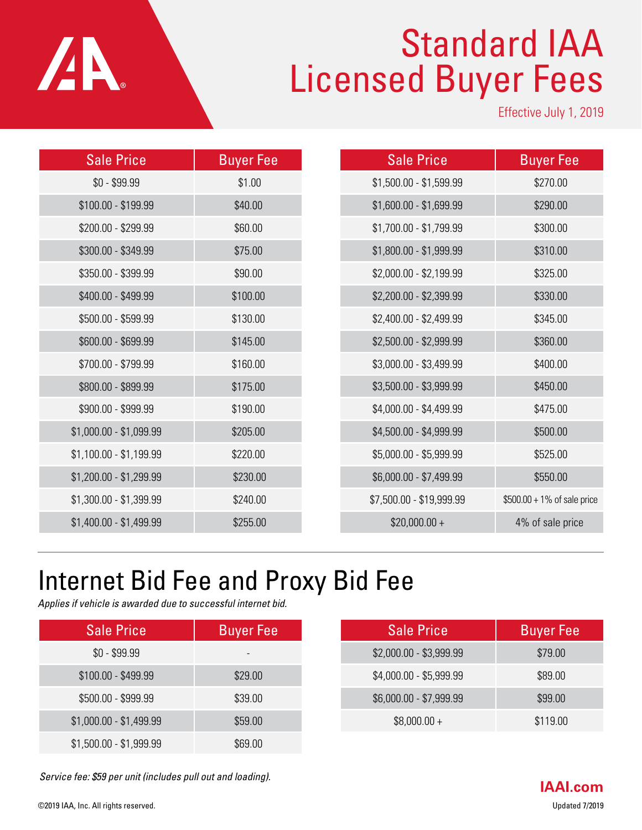## Standard IAA Licensed Buyer Fees

Effective July 1, 2019

| <b>Sale Price</b>       | <b>Buyer Fee</b> | <b>Sale Price</b>        | <b>Buyer Fee</b>              |
|-------------------------|------------------|--------------------------|-------------------------------|
| $$0 - $99.99$           | \$1.00           | \$1,500.00 - \$1,599.99  | \$270.00                      |
| $$100.00 - $199.99$     | \$40.00          | $$1,600.00 - $1,699.99$  | \$290.00                      |
| \$200.00 - \$299.99     | \$60.00          | $$1,700.00 - $1,799.99$  | \$300.00                      |
| \$300.00 - \$349.99     | \$75.00          | \$1,800.00 - \$1,999.99  | \$310.00                      |
| \$350.00 - \$399.99     | \$90.00          | \$2,000.00 - \$2,199.99  | \$325.00                      |
| \$400.00 - \$499.99     | \$100.00         | \$2,200.00 - \$2,399.99  | \$330.00                      |
| \$500.00 - \$599.99     | \$130.00         | \$2,400.00 - \$2,499.99  | \$345.00                      |
| \$600.00 - \$699.99     | \$145.00         | \$2,500.00 - \$2,999.99  | \$360.00                      |
| \$700.00 - \$799.99     | \$160.00         | \$3,000.00 - \$3,499.99  | \$400.00                      |
| \$800.00 - \$899.99     | \$175.00         | \$3,500.00 - \$3,999.99  | \$450.00                      |
| \$900.00 - \$999.99     | \$190.00         | \$4,000.00 - \$4,499.99  | \$475.00                      |
| $$1,000.00 - $1,099.99$ | \$205.00         | \$4,500.00 - \$4,999.99  | \$500.00                      |
| \$1,100.00 - \$1,199.99 | \$220.00         | \$5,000.00 - \$5,999.99  | \$525.00                      |
| $$1,200.00 - $1,299.99$ | \$230.00         | \$6,000.00 - \$7,499.99  | \$550.00                      |
| \$1,300.00 - \$1,399.99 | \$240.00         | \$7,500.00 - \$19,999.99 | $$500.00 + 1\%$ of sale price |
| $$1,400.00 - $1,499.99$ | \$255.00         | $$20,000.00 +$           | 4% of sale price              |

#### Internet Bid Fee and Proxy Bid Fee

*Applies if vehicle is awarded due to successful internet bid.*

| <b>Sale Price</b>       | <b>Buyer Fee</b>         | <b>Sale Price</b>       | <b>Buyer Fee</b> |
|-------------------------|--------------------------|-------------------------|------------------|
| $$0 - $99.99$           | $\overline{\phantom{a}}$ | $$2,000.00 - $3,999.99$ | \$79.00          |
| $$100.00 - $499.99$     | \$29.00                  | \$4,000.00 - \$5,999.99 | \$89.00          |
| $$500.00 - $999.99$     | \$39.00                  | \$6,000.00 - \$7,999.99 | \$99.00          |
| $$1,000.00 - $1,499.99$ | \$59.00                  | $$8,000.00 +$           | \$119.00         |
| $$1,500.00 - $1,999.99$ | \$69.00                  |                         |                  |

*Service fee: \$59 per unit (includes pull out and loading).*

AN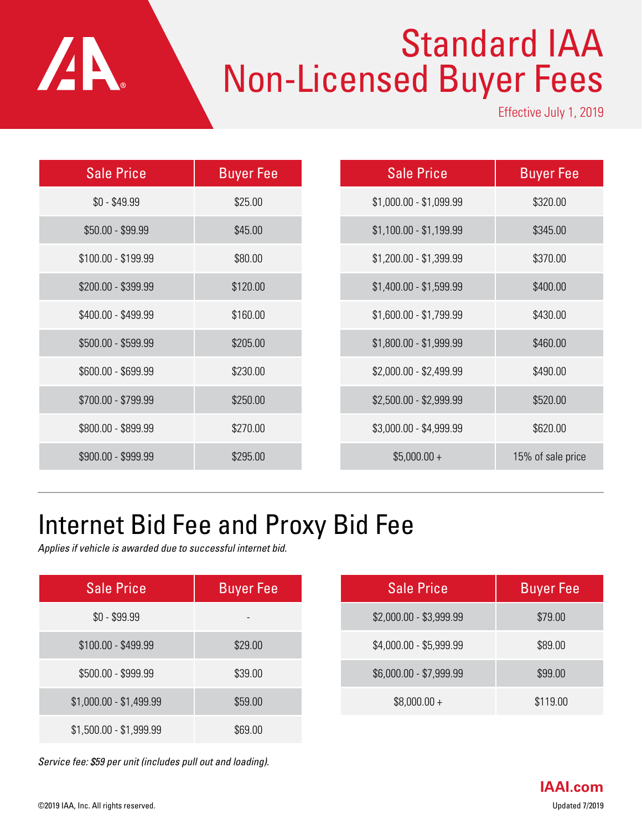# Standard IAA Non-Licensed Buyer Fees

Effective July 1, 2019

| <b>Sale Price</b>   | <b>Buyer Fee</b> | <b>Sale Price</b>       | <b>Buyer Fee</b>  |
|---------------------|------------------|-------------------------|-------------------|
| $$0 - $49.99$       | \$25.00          | $$1,000.00 - $1,099.99$ | \$320.00          |
| $$50.00 - $99.99$   | \$45.00          | $$1,100.00 - $1,199.99$ | \$345.00          |
| \$100.00 - \$199.99 | \$80.00          | $$1,200.00 - $1,399.99$ | \$370.00          |
| \$200.00 - \$399.99 | \$120.00         | $$1,400.00 - $1,599.99$ | \$400.00          |
| \$400.00 - \$499.99 | \$160.00         | $$1,600.00 - $1,799.99$ | \$430.00          |
| \$500.00 - \$599.99 | \$205.00         | $$1,800.00 - $1,999.99$ | \$460.00          |
| \$600.00 - \$699.99 | \$230.00         | $$2,000.00 - $2,499.99$ | \$490.00          |
| \$700.00 - \$799.99 | \$250.00         | $$2,500.00 - $2,999.99$ | \$520.00          |
| \$800.00 - \$899.99 | \$270.00         | \$3,000.00 - \$4,999.99 | \$620.00          |
| \$900.00 - \$999.99 | \$295.00         | $$5,000.00+$            | 15% of sale price |

#### Internet Bid Fee and Proxy Bid Fee

*Applies if vehicle is awarded due to successful internet bid.*

| <b>Sale Price</b>       | <b>Buyer Fee</b> |
|-------------------------|------------------|
| $$0 - $99.99$           |                  |
| \$100.00 - \$499.99     | \$29.00          |
| \$500.00 - \$999.99     | \$39.00          |
| $$1,000.00 - $1,499.99$ | \$59.00          |
| \$1,500.00 - \$1,999.99 | \$69.00          |

| <b>Sale Price</b>       | <b>Buyer Fee</b> |
|-------------------------|------------------|
| \$2,000.00 - \$3,999.99 | \$79.00          |
| \$4,000.00 - \$5,999.99 | \$89.00          |
| \$6,000.00 - \$7,999.99 | \$99.00          |
| $$8,000.00 +$           | \$119.00         |

*Service fee: \$59 per unit (includes pull out and loading).*

**AN**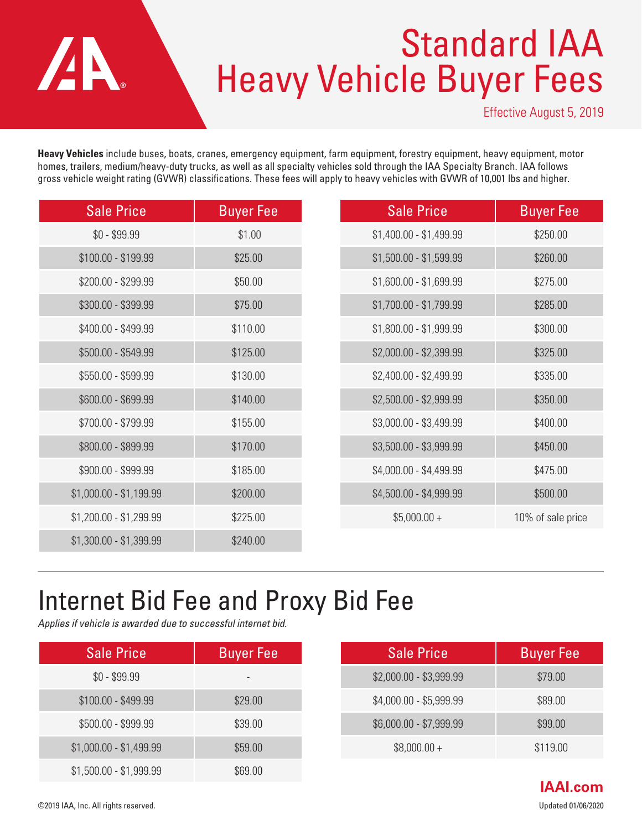## Standard IAA Heavy Vehicle Buyer Fees

Effective August 5, 2019

**IAAI.com**

**Heavy Vehicles** include buses, boats, cranes, emergency equipment, farm equipment, forestry equipment, heavy equipment, motor homes, trailers, medium/heavy-duty trucks, as well as all specialty vehicles sold through the IAA Specialty Branch. IAA follows gross vehicle weight rating (GVWR) classifications. These fees will apply to heavy vehicles with GVWR of 10,001 lbs and higher.

| <b>Sale Price</b>       | <b>Buyer Fee</b> | <b>Sale Price</b>       | <b>Buyer Fee</b>  |
|-------------------------|------------------|-------------------------|-------------------|
| $$0 - $99.99$           | \$1.00           | $$1,400.00 - $1,499.99$ | \$250.00          |
| $$100.00 - $199.99$     | \$25.00          | $$1,500.00 - $1,599.99$ | \$260.00          |
| \$200.00 - \$299.99     | \$50.00          | $$1,600.00 - $1,699.99$ | \$275.00          |
| \$300.00 - \$399.99     | \$75.00          | $$1,700.00 - $1,799.99$ | \$285.00          |
| \$400.00 - \$499.99     | \$110.00         | $$1,800.00 - $1,999.99$ | \$300.00          |
| \$500.00 - \$549.99     | \$125.00         | $$2,000.00 - $2,399.99$ | \$325.00          |
| \$550.00 - \$599.99     | \$130.00         | $$2,400.00 - $2,499.99$ | \$335.00          |
| \$600.00 - \$699.99     | \$140.00         | $$2,500.00 - $2,999.99$ | \$350.00          |
| \$700.00 - \$799.99     | \$155.00         | \$3,000.00 - \$3,499.99 | \$400.00          |
| \$800.00 - \$899.99     | \$170.00         | \$3,500.00 - \$3,999.99 | \$450.00          |
| \$900.00 - \$999.99     | \$185.00         | \$4,000.00 - \$4,499.99 | \$475.00          |
| $$1,000.00 - $1,199.99$ | \$200.00         | \$4,500.00 - \$4,999.99 | \$500.00          |
| $$1,200.00 - $1,299.99$ | \$225.00         | $$5,000.00 +$           | 10% of sale price |
| $$1,300.00 - $1,399.99$ | \$240.00         |                         |                   |

#### Internet Bid Fee and Proxy Bid Fee

*Applies if vehicle is awarded due to successful internet bid.*

| <b>Sale Price</b>       | <b>Buyer Fee</b>         | <b>Sale Price</b>       | <b>Buyer Fee</b> |
|-------------------------|--------------------------|-------------------------|------------------|
| $$0 - $99.99$           | $\overline{\phantom{0}}$ | $$2,000.00 - $3,999.99$ | \$79.00          |
| $$100.00 - $499.99$     | \$29.00                  | \$4,000.00 - \$5,999.99 | \$89.00          |
| $$500.00 - $999.99$     | \$39.00                  | \$6,000.00 - \$7,999.99 | \$99.00          |
| $$1,000.00 - $1,499.99$ | \$59.00                  | $$8,000.00 +$           | \$119.00         |
| $$1,500.00 - $1,999.99$ | \$69.00                  |                         |                  |